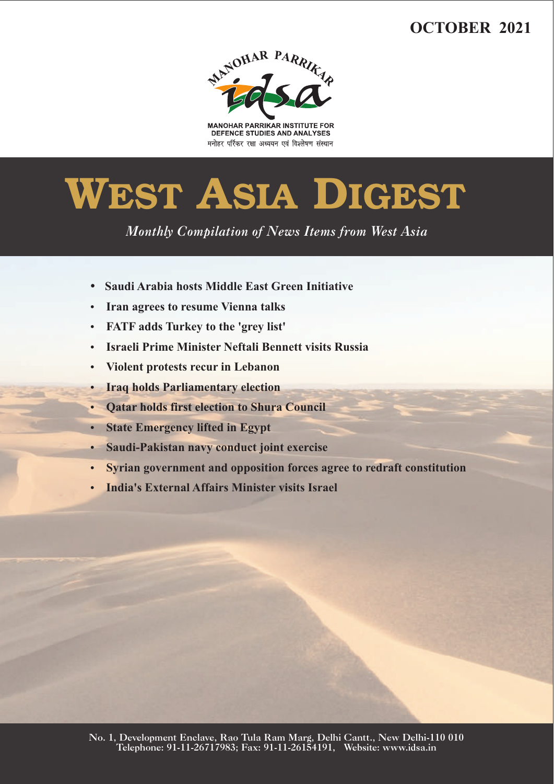# **OCTOBER 2021**



**MANOHAR PARRIKAR INSTITUTE FOR** DEFENCE STUDIES AND ANALYSES मनोहर पर्रिकर रक्षा अध्ययन एवं विश्लेषण संस्थान

# **WEST ASIA DIGEST**

*Monthly Compilation of News Items from West Asia* 

- ??**Saudi Arabia hosts Middle East Green Initiative**
- 
- ?**Iran agrees to resume Vienna talks**
- ?**FATF adds Turkey to the 'grey list'** ?**Israeli Prime Minister Neftali Bennett visits Russia**
- 
- **Iraq holds Parliamentary election**
- ?**Iraq holds Parliamentary election** ?**Qatar holds first election to Shura Council**
- 
- **•** State Emergency lifted in Egypt<br>• Saudi-Pakistan navy conduct joint exercise
- ?**Saudi-Pakistan navy conduct joint exercise** ?**Syrian government and opposition forces agree to redraft constitution**
- **India's External Affairs Minister visits Israel**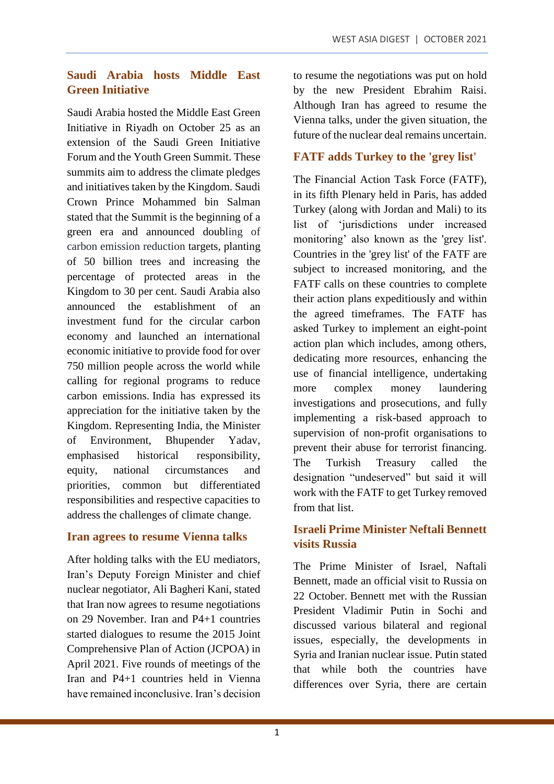# **Saudi Arabia hosts Middle East Green Initiative**

Saudi Arabia hosted the Middle East Green Initiative in Riyadh on October 25 as an extension of the Saudi Green Initiative Forum and the Youth Green Summit. These summits aim to address the climate pledges and initiatives taken by the Kingdom. Saudi Crown Prince Mohammed bin Salman stated that the Summit is the beginning of a green era and announced doubling of carbon emission reduction targets, planting of 50 billion trees and increasing the percentage of protected areas in the Kingdom to 30 per cent. Saudi Arabia also announced the establishment of an investment fund for the circular carbon economy and launched an international economic initiative to provide food for over 750 million people across the world while calling for regional programs to reduce carbon emissions. India has expressed its appreciation for the initiative taken by the Kingdom. Representing India, the Minister of Environment, Bhupender Yadav, emphasised historical responsibility, equity, national circumstances and priorities, common but differentiated responsibilities and respective capacities to address the challenges of climate change.

#### **Iran agrees to resume Vienna talks**

After holding talks with the EU mediators, Iran's Deputy Foreign Minister and chief nuclear negotiator, Ali Bagheri Kani, stated that Iran now agrees to resume negotiations on 29 November. Iran and P4+1 countries started dialogues to resume the 2015 Joint Comprehensive Plan of Action (JCPOA) in April 2021. Five rounds of meetings of the Iran and P4+1 countries held in Vienna have remained inconclusive. Iran's decision to resume the negotiations was put on hold by the new President Ebrahim Raisi. Although Iran has agreed to resume the Vienna talks, under the given situation, the future of the nuclear deal remains uncertain.

# **FATF adds Turkey to the 'grey list'**

The Financial Action Task Force (FATF), in its fifth Plenary held in Paris, has added Turkey (along with Jordan and Mali) to its list of 'jurisdictions under increased monitoring' also known as the 'grey list'. Countries in the 'grey list' of the FATF are subject to increased monitoring, and the FATF calls on these countries to complete their action plans expeditiously and within the agreed timeframes. The FATF has asked Turkey to implement an eight-point action plan which includes, among others, dedicating more resources, enhancing the use of financial intelligence, undertaking more complex money laundering investigations and prosecutions, and fully implementing a risk-based approach to supervision of non-profit organisations to prevent their abuse for terrorist financing. The Turkish Treasury called the designation "undeserved" but said it will work with the FATF to get Turkey removed from that list.

### **Israeli Prime Minister Neftali Bennett visits Russia**

The Prime Minister of Israel, Naftali Bennett, made an official visit to Russia on 22 October. Bennett met with the Russian President Vladimir Putin in Sochi and discussed various bilateral and regional issues, especially, the developments in Syria and Iranian nuclear issue. Putin stated that while both the countries have differences over Syria, there are certain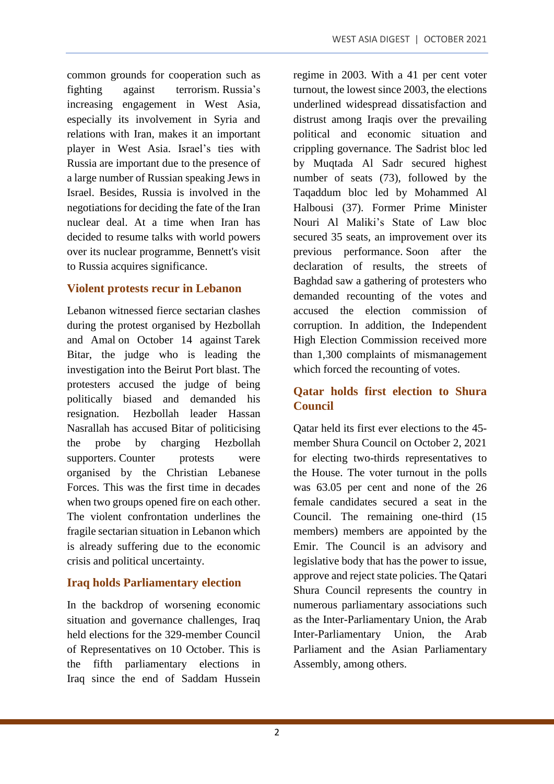common grounds for cooperation such as fighting against terrorism. Russia's increasing engagement in West Asia, especially its involvement in Syria and relations with Iran, makes it an important player in West Asia. Israel's ties with Russia are important due to the presence of a large number of Russian speaking Jews in Israel. Besides, Russia is involved in the negotiations for deciding the fate of the Iran nuclear deal. At a time when Iran has decided to resume talks with world powers over its nuclear programme, Bennett's visit to Russia acquires significance.

# **Violent protests recur in Lebanon**

Lebanon witnessed fierce sectarian clashes during the protest organised by Hezbollah and Amal on October 14 against Tarek Bitar, the judge who is leading the investigation into the Beirut Port blast. The protesters accused the judge of being politically biased and demanded his resignation. Hezbollah leader Hassan Nasrallah has accused Bitar of politicising the probe by charging Hezbollah supporters. Counter protests were organised by the Christian Lebanese Forces. This was the first time in decades when two groups opened fire on each other. The violent confrontation underlines the fragile sectarian situation in Lebanon which is already suffering due to the economic crisis and political uncertainty.

# **Iraq holds Parliamentary election**

In the backdrop of worsening economic situation and governance challenges, Iraq held elections for the 329-member Council of Representatives on 10 October. This is the fifth parliamentary elections in Iraq since the end of Saddam Hussein regime in 2003. With a 41 per cent voter turnout, the lowest since 2003, the elections underlined widespread dissatisfaction and distrust among Iraqis over the prevailing political and economic situation and crippling governance. The Sadrist bloc led by Muqtada Al Sadr secured highest number of seats (73), followed by the Taqaddum bloc led by Mohammed Al Halbousi (37). Former Prime Minister Nouri Al Maliki's State of Law bloc secured 35 seats, an improvement over its previous performance. Soon after the declaration of results, the streets of Baghdad saw a gathering of protesters who demanded recounting of the votes and accused the election commission of corruption. In addition, the Independent High Election Commission received more than 1,300 complaints of mismanagement which forced the recounting of votes.

# **Qatar holds first election to Shura Council**

Qatar held its first ever elections to the 45 member Shura Council on October 2, 2021 for electing two-thirds representatives to the House. The voter turnout in the polls was 63.05 per cent and none of the 26 female candidates secured a seat in the Council. The remaining one-third (15 members) members are appointed by the Emir. The Council is an advisory and legislative body that has the power to issue, approve and reject state policies. The Qatari Shura Council represents the country in numerous parliamentary associations such as the Inter-Parliamentary Union, the Arab Inter-Parliamentary Union, the Arab Parliament and the Asian Parliamentary Assembly, among others.